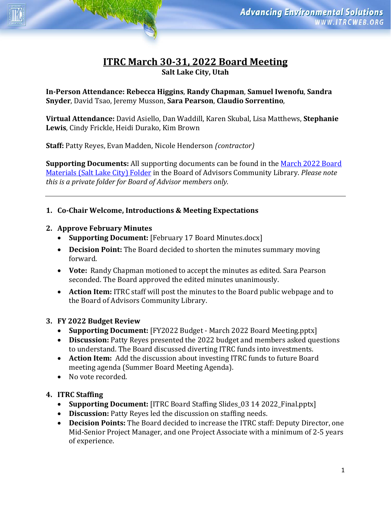# **ITRC March 30-31, 2022 Board Meeting Salt Lake City, Utah**

**In-Person Attendance: Rebecca Higgins**, **Randy Chapman**, **Samuel Iwenofu**, **Sandra Snyder**, David Tsao, Jeremy Musson, **Sara Pearson**, **Claudio Sorrentino**,

**Virtual Attendance:** David Asiello, Dan Waddill, Karen Skubal, Lisa Matthews, **Stephanie Lewis**, Cindy Frickle, Heidi Durako, Kim Brown

**Staff:** Patty Reyes, Evan Madden, Nicole Henderson *(contractor)*

**Supporting Documents:** All supporting documents can be found in the March 2022 Board [Materials \(Salt Lake City\) Folder](https://connect.itrcweb.org/viewdocument/march-2022-board-materials-salt-la) in the Board of Advisors Community Library. *Please note this is a private folder for Board of Advisor members only.* 

#### **1. Co-Chair Welcome, Introductions & Meeting Expectations**

#### **2. Approve February Minutes**

- **Supporting Document:** [February 17 Board Minutes.docx]
- **Decision Point:** The Board decided to shorten the minutes summary moving forward.
- **Vote:** Randy Chapman motioned to accept the minutes as edited. Sara Pearson seconded. The Board approved the edited minutes unanimously.
- **Action Item:** ITRC staff will post the minutes to the Board public webpage and to the Board of Advisors Community Library.

### **3. FY 2022 Budget Review**

- **Supporting Document:** [FY2022 Budget March 2022 Board Meeting.pptx]
- **Discussion:** Patty Reyes presented the 2022 budget and members asked questions to understand. The Board discussed diverting ITRC funds into investments.
- **Action Item:** Add the discussion about investing ITRC funds to future Board meeting agenda (Summer Board Meeting Agenda).
- No vote recorded.

### **4. ITRC Staffing**

- **Supporting Document:** [ITRC Board Staffing Slides 03 14 2022 Final.pptx]
- **Discussion:** Patty Reyes led the discussion on staffing needs.
- **Decision Points:** The Board decided to increase the ITRC staff: Deputy Director, one Mid-Senior Project Manager, and one Project Associate with a minimum of 2-5 years of experience.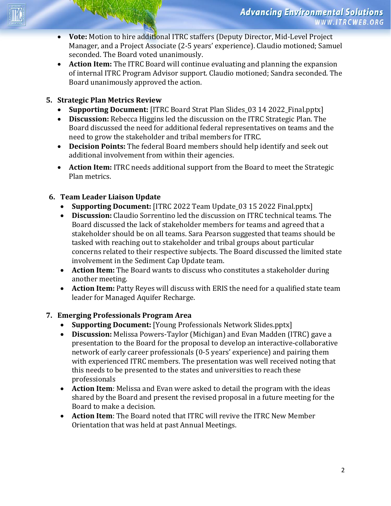- **Vote:** Motion to hire additional ITRC staffers (Deputy Director, Mid-Level Project Manager, and a Project Associate (2-5 years' experience). Claudio motioned; Samuel seconded. The Board voted unanimously.
- **Action Item:** The ITRC Board will continue evaluating and planning the expansion of internal ITRC Program Advisor support. Claudio motioned; Sandra seconded. The Board unanimously approved the action.

## **5. Strategic Plan Metrics Review**

- **Supporting Document:** [ITRC Board Strat Plan Slides 03 14 2022 Final.pptx]
- **Discussion:** Rebecca Higgins led the discussion on the ITRC Strategic Plan. The Board discussed the need for additional federal representatives on teams and the need to grow the stakeholder and tribal members for ITRC.
- **Decision Points:** The federal Board members should help identify and seek out additional involvement from within their agencies.
- **Action Item:** ITRC needs additional support from the Board to meet the Strategic Plan metrics.

# **6. Team Leader Liaison Update**

- **Supporting Document:** [ITRC 2022 Team Update 03 15 2022 Final.pptx]
- **Discussion:** Claudio Sorrentino led the discussion on ITRC technical teams. The Board discussed the lack of stakeholder members for teams and agreed that a stakeholder should be on all teams. Sara Pearson suggested that teams should be tasked with reaching out to stakeholder and tribal groups about particular concerns related to their respective subjects. The Board discussed the limited state involvement in the Sediment Cap Update team.
- **Action Item:** The Board wants to discuss who constitutes a stakeholder during another meeting.
- **Action Item:** Patty Reyes will discuss with ERIS the need for a qualified state team leader for Managed Aquifer Recharge.

# **7. Emerging Professionals Program Area**

- **Supporting Document:** [Young Professionals Network Slides.pptx]
- **Discussion:** Melissa Powers-Taylor (Michigan) and Evan Madden (ITRC) gave a presentation to the Board for the proposal to develop an interactive-collaborative network of early career professionals (0-5 years' experience) and pairing them with experienced ITRC members. The presentation was well received noting that this needs to be presented to the states and universities to reach these professionals
- **Action Item**: Melissa and Evan were asked to detail the program with the ideas shared by the Board and present the revised proposal in a future meeting for the Board to make a decision.
- **Action Item**: The Board noted that ITRC will revive the ITRC New Member Orientation that was held at past Annual Meetings.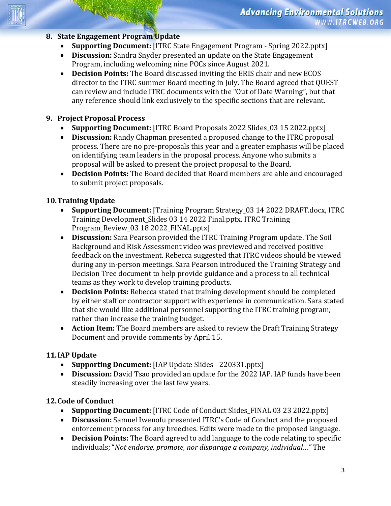#### **8. State Engagement Program Update**

- **Supporting Document:** [ITRC State Engagement Program Spring 2022.pptx]
- **Discussion:** Sandra Snyder presented an update on the State Engagement Program, including welcoming nine POCs since August 2021.
- **Decision Points:** The Board discussed inviting the ERIS chair and new ECOS director to the ITRC summer Board meeting in July. The Board agreed that QUEST can review and include ITRC documents with the "Out of Date Warning", but that any reference should link exclusively to the specific sections that are relevant.

### **9. Project Proposal Process**

- **Supporting Document:** [ITRC Board Proposals 2022 Slides 03 15 2022.pptx]
- **Discussion:** Randy Chapman presented a proposed change to the ITRC proposal process. There are no pre-proposals this year and a greater emphasis will be placed on identifying team leaders in the proposal process. Anyone who submits a proposal will be asked to present the project proposal to the Board.
- **Decision Points:** The Board decided that Board members are able and encouraged to submit project proposals.

### **10.Training Update**

- **Supporting Document:** [Training Program Strategy 03 14 2022 DRAFT.docx, ITRC Training Development\_Slides 03 14 2022 Final.pptx, ITRC Training Program\_Review\_03 18 2022\_FINAL.pptx]
- **Discussion:** Sara Pearson provided the ITRC Training Program update. The Soil Background and Risk Assessment video was previewed and received positive feedback on the investment. Rebecca suggested that ITRC videos should be viewed during any in-person meetings. Sara Pearson introduced the Training Strategy and Decision Tree document to help provide guidance and a process to all technical teams as they work to develop training products.
- **Decision Points:** Rebecca stated that training development should be completed by either staff or contractor support with experience in communication. Sara stated that she would like additional personnel supporting the ITRC training program, rather than increase the training budget.
- **Action Item:** The Board members are asked to review the Draft Training Strategy Document and provide comments by April 15.

### **11.IAP Update**

- **Supporting Document:** [IAP Update Slides 220331.pptx]
- **Discussion:** David Tsao provided an update for the 2022 IAP. IAP funds have been steadily increasing over the last few years.

### **12.Code of Conduct**

- **Supporting Document:** [ITRC Code of Conduct Slides\_FINAL 03 23 2022.pptx]
- **Discussion:** Samuel Iwenofu presented ITRC's Code of Conduct and the proposed enforcement process for any breeches. Edits were made to the proposed language.
- **Decision Points:** The Board agreed to add language to the code relating to specific individuals; "*Not endorse, promote, nor disparage a company, individual…"* The